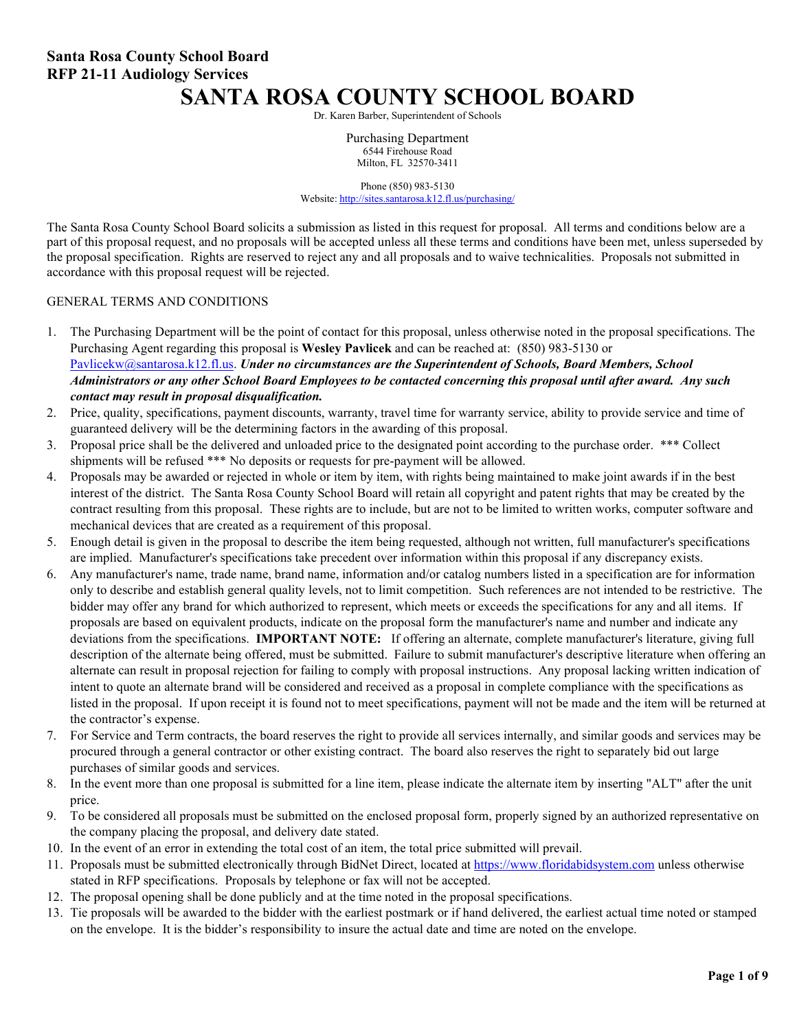# **SANTA ROSA COUNTY SCHOOL BOARD**

Dr. Karen Barber, Superintendent of Schools

Purchasing Department 6544 Firehouse Road Milton, FL 32570-3411

Phone (850) 983-5130 Website: <http://sites.santarosa.k12.fl.us/purchasing/>

The Santa Rosa County School Board solicits a submission as listed in this request for proposal. All terms and conditions below are a part of this proposal request, and no proposals will be accepted unless all these terms and conditions have been met, unless superseded by the proposal specification. Rights are reserved to reject any and all proposals and to waive technicalities. Proposals not submitted in accordance with this proposal request will be rejected.

#### GENERAL TERMS AND CONDITIONS

- 1. The Purchasing Department will be the point of contact for this proposal, unless otherwise noted in the proposal specifications. The Purchasing Agent regarding this proposal is **Wesley Pavlicek** and can be reached at: (850) 983-5130 or [Pavlicekw@santarosa.k12.fl.us.](mailto:Pavlicekw@santarosa.k12.fl.us) *Under no circumstances are the Superintendent of Schools, Board Members, School Administrators or any other School Board Employees to be contacted concerning this proposal until after award. Any such contact may result in proposal disqualification.*
- 2. Price, quality, specifications, payment discounts, warranty, travel time for warranty service, ability to provide service and time of guaranteed delivery will be the determining factors in the awarding of this proposal.
- 3. Proposal price shall be the delivered and unloaded price to the designated point according to the purchase order. \*\*\* Collect shipments will be refused \*\*\* No deposits or requests for pre-payment will be allowed.
- 4. Proposals may be awarded or rejected in whole or item by item, with rights being maintained to make joint awards if in the best interest of the district. The Santa Rosa County School Board will retain all copyright and patent rights that may be created by the contract resulting from this proposal. These rights are to include, but are not to be limited to written works, computer software and mechanical devices that are created as a requirement of this proposal.
- 5. Enough detail is given in the proposal to describe the item being requested, although not written, full manufacturer's specifications are implied. Manufacturer's specifications take precedent over information within this proposal if any discrepancy exists.
- 6. Any manufacturer's name, trade name, brand name, information and/or catalog numbers listed in a specification are for information only to describe and establish general quality levels, not to limit competition. Such references are not intended to be restrictive. The bidder may offer any brand for which authorized to represent, which meets or exceeds the specifications for any and all items. If proposals are based on equivalent products, indicate on the proposal form the manufacturer's name and number and indicate any deviations from the specifications. **IMPORTANT NOTE:** If offering an alternate, complete manufacturer's literature, giving full description of the alternate being offered, must be submitted. Failure to submit manufacturer's descriptive literature when offering an alternate can result in proposal rejection for failing to comply with proposal instructions. Any proposal lacking written indication of intent to quote an alternate brand will be considered and received as a proposal in complete compliance with the specifications as listed in the proposal. If upon receipt it is found not to meet specifications, payment will not be made and the item will be returned at the contractor's expense.
- 7. For Service and Term contracts, the board reserves the right to provide all services internally, and similar goods and services may be procured through a general contractor or other existing contract. The board also reserves the right to separately bid out large purchases of similar goods and services.
- 8. In the event more than one proposal is submitted for a line item, please indicate the alternate item by inserting "ALT" after the unit price.
- 9. To be considered all proposals must be submitted on the enclosed proposal form, properly signed by an authorized representative on the company placing the proposal, and delivery date stated.
- 10. In the event of an error in extending the total cost of an item, the total price submitted will prevail.
- 11. Proposals must be submitted electronically through BidNet Direct, located at [https://www.floridabidsystem.com](https://www.floridabidsystem.com/) unless otherwise stated in RFP specifications. Proposals by telephone or fax will not be accepted.
- 12. The proposal opening shall be done publicly and at the time noted in the proposal specifications.
- 13. Tie proposals will be awarded to the bidder with the earliest postmark or if hand delivered, the earliest actual time noted or stamped on the envelope. It is the bidder's responsibility to insure the actual date and time are noted on the envelope.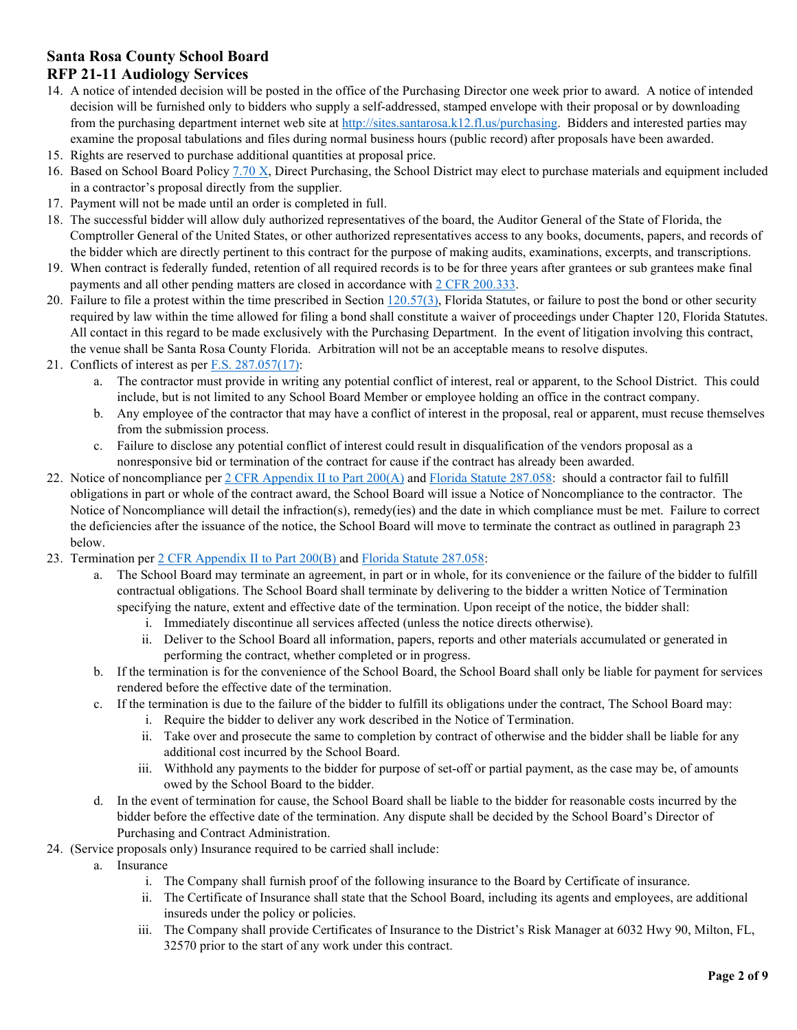#### **Santa Rosa County School Board RFP 21-11 Audiology Services**

- 14. A notice of intended decision will be posted in the office of the Purchasing Director one week prior to award. A notice of intended decision will be furnished only to bidders who supply a self-addressed, stamped envelope with their proposal or by downloading from the purchasing department internet web site at [http://sites.santarosa.k12.fl.us/purchasing.](http://sites.santarosa.k12.fl.us/purchasing) Bidders and interested parties may examine the proposal tabulations and files during normal business hours (public record) after proposals have been awarded.
- 15. Rights are reserved to purchase additional quantities at proposal price.
- 16. Based on School Board Polic[y 7.70 X,](https://sites.santarosa.k12.fl.us/policy/policy7_70.pdf) Direct Purchasing, the School District may elect to purchase materials and equipment included in a contractor's proposal directly from the supplier.
- 17. Payment will not be made until an order is completed in full.
- 18. The successful bidder will allow duly authorized representatives of the board, the Auditor General of the State of Florida, the Comptroller General of the United States, or other authorized representatives access to any books, documents, papers, and records of the bidder which are directly pertinent to this contract for the purpose of making audits, examinations, excerpts, and transcriptions.
- 19. When contract is federally funded, retention of all required records is to be for three years after grantees or sub grantees make final payments and all other pending matters are closed in accordance wit[h 2 CFR 200.333.](https://www.ecfr.gov/cgi-bin/text-idx?SID=bdb52ec3ce0528f0bfcdedb38a116425&mc=true&node=se2.1.200_1333&rgn=div8)
- 20. Failure to file a protest within the time prescribed in Section  $120.57(3)$ , Florida Statutes, or failure to post the bond or other security required by law within the time allowed for filing a bond shall constitute a waiver of proceedings under Chapter 120, Florida Statutes. All contact in this regard to be made exclusively with the Purchasing Department. In the event of litigation involving this contract, the venue shall be Santa Rosa County Florida. Arbitration will not be an acceptable means to resolve disputes.
- 21. Conflicts of interest as per  $F.S. 287.057(17)$ :
	- a. The contractor must provide in writing any potential conflict of interest, real or apparent, to the School District. This could include, but is not limited to any School Board Member or employee holding an office in the contract company.
	- b. Any employee of the contractor that may have a conflict of interest in the proposal, real or apparent, must recuse themselves from the submission process.
	- c. Failure to disclose any potential conflict of interest could result in disqualification of the vendors proposal as a nonresponsive bid or termination of the contract for cause if the contract has already been awarded.
- 22. Notice of noncompliance per [2 CFR Appendix II to Part 200\(A\)](https://www.ecfr.gov/cgi-bin/text-idx?SID=bdb52ec3ce0528f0bfcdedb38a116425&mc=true&node=ap2.1.200_1521.ii&rgn=div9) and [Florida Statute 287.058:](http://www.leg.state.fl.us/statutes/index.cfm?App_mode=Display_Statute&Search_String=&URL=0200-0299/0287/Sections/0287.058.html) should a contractor fail to fulfill obligations in part or whole of the contract award, the School Board will issue a Notice of Noncompliance to the contractor. The Notice of Noncompliance will detail the infraction(s), remedy(ies) and the date in which compliance must be met. Failure to correct the deficiencies after the issuance of the notice, the School Board will move to terminate the contract as outlined in paragraph 23 below.
- 23. Termination per [2 CFR Appendix II to Part 200\(B\)](https://www.ecfr.gov/cgi-bin/text-idx?SID=bdb52ec3ce0528f0bfcdedb38a116425&mc=true&node=ap2.1.200_1521.ii&rgn=div9) and [Florida Statute 287.058:](http://www.leg.state.fl.us/statutes/index.cfm?App_mode=Display_Statute&Search_String=&URL=0200-0299/0287/Sections/0287.058.html)
	- a. The School Board may terminate an agreement, in part or in whole, for its convenience or the failure of the bidder to fulfill contractual obligations. The School Board shall terminate by delivering to the bidder a written Notice of Termination specifying the nature, extent and effective date of the termination. Upon receipt of the notice, the bidder shall:
		- i. Immediately discontinue all services affected (unless the notice directs otherwise).
		- ii. Deliver to the School Board all information, papers, reports and other materials accumulated or generated in performing the contract, whether completed or in progress.
	- b. If the termination is for the convenience of the School Board, the School Board shall only be liable for payment for services rendered before the effective date of the termination.
	- c. If the termination is due to the failure of the bidder to fulfill its obligations under the contract, The School Board may:
		- i. Require the bidder to deliver any work described in the Notice of Termination.
		- ii. Take over and prosecute the same to completion by contract of otherwise and the bidder shall be liable for any additional cost incurred by the School Board.
		- iii. Withhold any payments to the bidder for purpose of set-off or partial payment, as the case may be, of amounts owed by the School Board to the bidder.
	- d. In the event of termination for cause, the School Board shall be liable to the bidder for reasonable costs incurred by the bidder before the effective date of the termination. Any dispute shall be decided by the School Board's Director of Purchasing and Contract Administration.
- 24. (Service proposals only) Insurance required to be carried shall include:
	- a. Insurance
		- i. The Company shall furnish proof of the following insurance to the Board by Certificate of insurance.
		- ii. The Certificate of Insurance shall state that the School Board, including its agents and employees, are additional insureds under the policy or policies.
		- iii. The Company shall provide Certificates of Insurance to the District's Risk Manager at 6032 Hwy 90, Milton, FL, 32570 prior to the start of any work under this contract.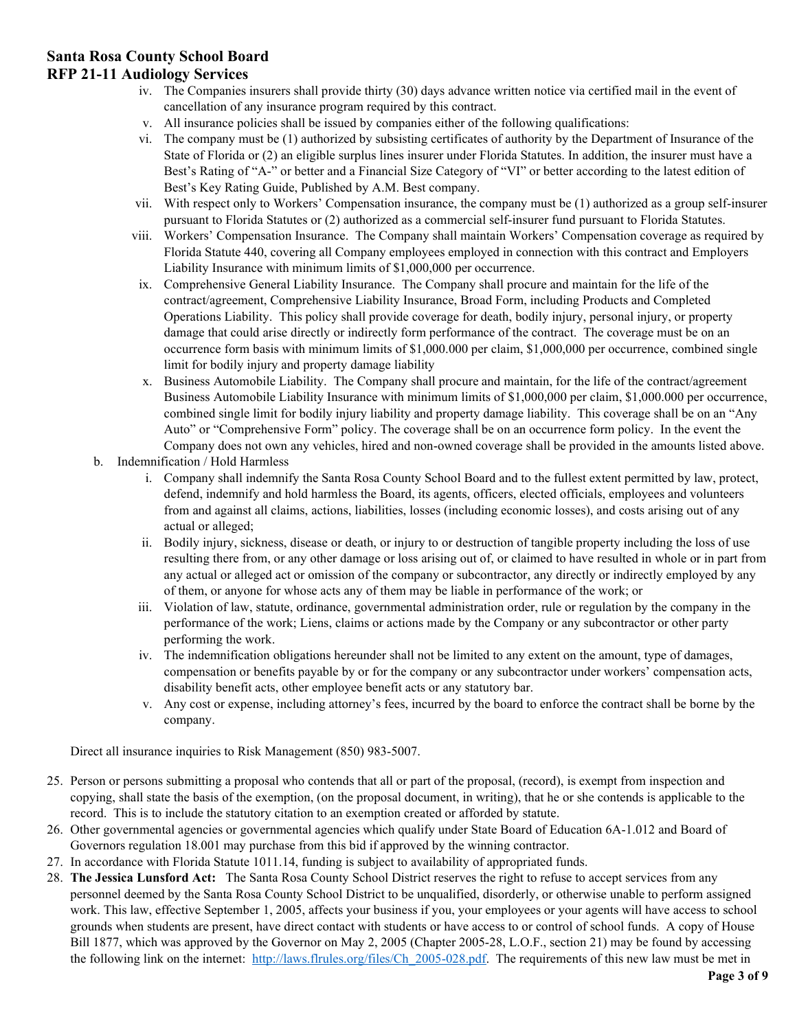# **Santa Rosa County School Board**

#### **RFP 21-11 Audiology Services**

- iv. The Companies insurers shall provide thirty (30) days advance written notice via certified mail in the event of cancellation of any insurance program required by this contract.
- v. All insurance policies shall be issued by companies either of the following qualifications:
- vi. The company must be (1) authorized by subsisting certificates of authority by the Department of Insurance of the State of Florida or (2) an eligible surplus lines insurer under Florida Statutes. In addition, the insurer must have a Best's Rating of "A-" or better and a Financial Size Category of "VI" or better according to the latest edition of Best's Key Rating Guide, Published by A.M. Best company.
- vii. With respect only to Workers' Compensation insurance, the company must be (1) authorized as a group self-insurer pursuant to Florida Statutes or (2) authorized as a commercial self-insurer fund pursuant to Florida Statutes.
- viii. Workers' Compensation Insurance. The Company shall maintain Workers' Compensation coverage as required by Florida Statute 440, covering all Company employees employed in connection with this contract and Employers Liability Insurance with minimum limits of \$1,000,000 per occurrence.
- ix. Comprehensive General Liability Insurance. The Company shall procure and maintain for the life of the contract/agreement, Comprehensive Liability Insurance, Broad Form, including Products and Completed Operations Liability. This policy shall provide coverage for death, bodily injury, personal injury, or property damage that could arise directly or indirectly form performance of the contract. The coverage must be on an occurrence form basis with minimum limits of \$1,000.000 per claim, \$1,000,000 per occurrence, combined single limit for bodily injury and property damage liability
- x. Business Automobile Liability. The Company shall procure and maintain, for the life of the contract/agreement Business Automobile Liability Insurance with minimum limits of \$1,000,000 per claim, \$1,000.000 per occurrence, combined single limit for bodily injury liability and property damage liability. This coverage shall be on an "Any Auto" or "Comprehensive Form" policy. The coverage shall be on an occurrence form policy. In the event the Company does not own any vehicles, hired and non-owned coverage shall be provided in the amounts listed above.
- b. Indemnification / Hold Harmless
	- i. Company shall indemnify the Santa Rosa County School Board and to the fullest extent permitted by law, protect, defend, indemnify and hold harmless the Board, its agents, officers, elected officials, employees and volunteers from and against all claims, actions, liabilities, losses (including economic losses), and costs arising out of any actual or alleged;
	- ii. Bodily injury, sickness, disease or death, or injury to or destruction of tangible property including the loss of use resulting there from, or any other damage or loss arising out of, or claimed to have resulted in whole or in part from any actual or alleged act or omission of the company or subcontractor, any directly or indirectly employed by any of them, or anyone for whose acts any of them may be liable in performance of the work; or
	- iii. Violation of law, statute, ordinance, governmental administration order, rule or regulation by the company in the performance of the work; Liens, claims or actions made by the Company or any subcontractor or other party performing the work.
	- iv. The indemnification obligations hereunder shall not be limited to any extent on the amount, type of damages, compensation or benefits payable by or for the company or any subcontractor under workers' compensation acts, disability benefit acts, other employee benefit acts or any statutory bar.
	- v. Any cost or expense, including attorney's fees, incurred by the board to enforce the contract shall be borne by the company.

Direct all insurance inquiries to Risk Management (850) 983-5007.

- 25. Person or persons submitting a proposal who contends that all or part of the proposal, (record), is exempt from inspection and copying, shall state the basis of the exemption, (on the proposal document, in writing), that he or she contends is applicable to the record. This is to include the statutory citation to an exemption created or afforded by statute.
- 26. Other governmental agencies or governmental agencies which qualify under State Board of Education 6A-1.012 and Board of Governors regulation 18.001 may purchase from this bid if approved by the winning contractor.
- 27. In accordance with Florida Statute 1011.14, funding is subject to availability of appropriated funds.
- 28. **The Jessica Lunsford Act:** The Santa Rosa County School District reserves the right to refuse to accept services from any personnel deemed by the Santa Rosa County School District to be unqualified, disorderly, or otherwise unable to perform assigned work. This law, effective September 1, 2005, affects your business if you, your employees or your agents will have access to school grounds when students are present, have direct contact with students or have access to or control of school funds. A copy of House Bill 1877, which was approved by the Governor on May 2, 2005 (Chapter 2005-28, L.O.F., section 21) may be found by accessing the following link on the internet: [http://laws.flrules.org/files/Ch\\_2005-028.pdf.](http://laws.flrules.org/files/Ch_2005-028.pdf) The requirements of this new law must be met in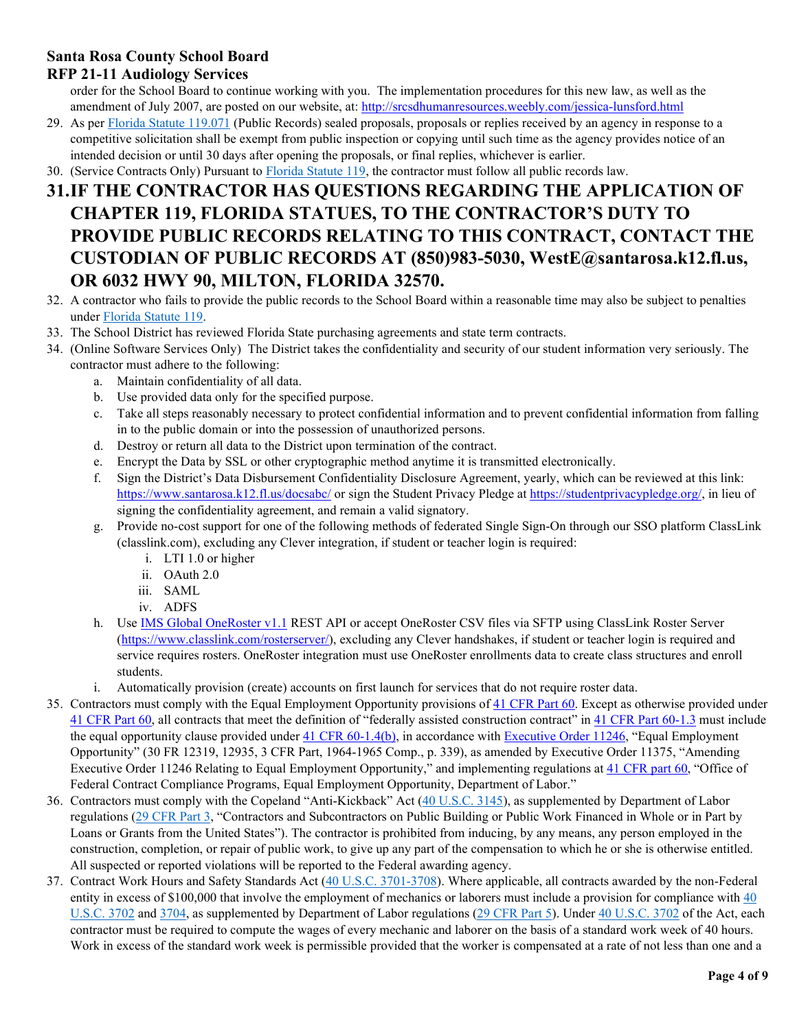### **Santa Rosa County School Board**

### **RFP 21-11 Audiology Services**

order for the School Board to continue working with you. The implementation procedures for this new law, as well as the amendment of July 2007, are posted on our website, at:<http://srcsdhumanresources.weebly.com/jessica-lunsford.html>

- 29. As per [Florida Statute 119.071](http://www.leg.state.fl.us/statutes/index.cfm?App_mode=Display_Statute&Search_String=&URL=0100-0199/0119/Sections/0119.071.html) (Public Records) sealed proposals, proposals or replies received by an agency in response to a competitive solicitation shall be exempt from public inspection or copying until such time as the agency provides notice of an intended decision or until 30 days after opening the proposals, or final replies, whichever is earlier.
- 30. (Service Contracts Only) Pursuant to [Florida Statute 119,](http://www.leg.state.fl.us/statutes/index.cfm?App_mode=Display_Statute&URL=0100-0199/0119/0119ContentsIndex.html&StatuteYear=2017&Title=-%3E2017-%3EChapter%20119) the contractor must follow all public records law.

# **31.IF THE CONTRACTOR HAS QUESTIONS REGARDING THE APPLICATION OF CHAPTER 119, FLORIDA STATUES, TO THE CONTRACTOR'S DUTY TO PROVIDE PUBLIC RECORDS RELATING TO THIS CONTRACT, CONTACT THE CUSTODIAN OF PUBLIC RECORDS AT (850)983-5030, WestE@santarosa.k12.fl.us, OR 6032 HWY 90, MILTON, FLORIDA 32570.**

- 32. A contractor who fails to provide the public records to the School Board within a reasonable time may also be subject to penalties under [Florida Statute 119.](http://www.leg.state.fl.us/statutes/index.cfm?App_mode=Display_Statute&URL=0100-0199/0119/0119ContentsIndex.html&StatuteYear=2017&Title=-%3E2017-%3EChapter%20119)
- 33. The School District has reviewed Florida State purchasing agreements and state term contracts.
- 34. (Online Software Services Only) The District takes the confidentiality and security of our student information very seriously. The contractor must adhere to the following:
	- a. Maintain confidentiality of all data.
	- b. Use provided data only for the specified purpose.
	- c. Take all steps reasonably necessary to protect confidential information and to prevent confidential information from falling in to the public domain or into the possession of unauthorized persons.
	- d. Destroy or return all data to the District upon termination of the contract.
	- e. Encrypt the Data by SSL or other cryptographic method anytime it is transmitted electronically.
	- f. Sign the District's Data Disbursement Confidentiality Disclosure Agreement, yearly, which can be reviewed at this link: <https://www.santarosa.k12.fl.us/docsabc/> or sign the Student Privacy Pledge at [https://studentprivacypledge.org/,](https://studentprivacypledge.org/) in lieu of signing the confidentiality agreement, and remain a valid signatory.
	- g. Provide no-cost support for one of the following methods of federated Single Sign-On through our SSO platform ClassLink (classlink.com), excluding any Clever integration, if student or teacher login is required:
		- i. LTI 1.0 or higher
		- ii. OAuth 2.0
		- iii. SAML
		- iv. ADFS
	- h. Use [IMS Global OneRoster v1.1](https://www.imsglobal.org/activity/onerosterlis) REST API or accept OneRoster CSV files via SFTP using ClassLink Roster Server [\(https://www.classlink.com/rosterserver/\)](https://www.classlink.com/rosterserver/), excluding any Clever handshakes, if student or teacher login is required and service requires rosters. OneRoster integration must use OneRoster enrollments data to create class structures and enroll students.
	- i. Automatically provision (create) accounts on first launch for services that do not require roster data.
- 35. Contractors must comply with the Equal Employment Opportunity provisions of [41 CFR Part 60.](https://www.ecfr.gov/cgi-bin/text-idx?SID=b945a57db1ed5678da2d3548a56e1699&mc=true&tpl=/ecfrbrowse/Title41/41chapter60.tpl) Except as otherwise provided under [41 CFR Part 60,](https://www.ecfr.gov/cgi-bin/text-idx?SID=b945a57db1ed5678da2d3548a56e1699&mc=true&tpl=/ecfrbrowse/Title41/41chapter60.tpl) all contracts that meet the definition of "federally assisted construction contract" i[n 41 CFR Part 60-1.3](https://www.ecfr.gov/cgi-bin/text-idx?SID=b945a57db1ed5678da2d3548a56e1699&mc=true&tpl=/ecfrbrowse/Title41/41chapter60.tpl) must include the equal opportunity clause provided under [41 CFR 60-1.4\(b\),](https://www.ecfr.gov/cgi-bin/text-idx?SID=b945a57db1ed5678da2d3548a56e1699&mc=true&tpl=/ecfrbrowse/Title41/41chapter60.tpl) in accordance with [Executive Order 11246,](https://www.dol.gov/ofccp/regs/statutes/eo11246.htm) "Equal Employment Opportunity" (30 FR 12319, 12935, 3 CFR Part, 1964-1965 Comp., p. 339), as amended by Executive Order 11375, "Amending Executive Order 11246 Relating to Equal Employment Opportunity," and implementing regulations at [41 CFR part 60,](https://www.ecfr.gov/cgi-bin/text-idx?SID=b945a57db1ed5678da2d3548a56e1699&mc=true&tpl=/ecfrbrowse/Title41/41chapter60.tpl) "Office of Federal Contract Compliance Programs, Equal Employment Opportunity, Department of Labor."
- 36. Contractors must comply with the Copeland "Anti-Kickback" Act [\(40 U.S.C. 3145\)](http://uscode.house.gov/view.xhtml?req=granuleid%3AUSC-prelim-title40-chapter31-subchapter4&edition=prelim), as supplemented by Department of Labor regulations [\(29 CFR Part 3,](https://www.ecfr.gov/cgi-bin/text-idx?SID=d83cb8b7cd4367dad303324c29d5caff&mc=true&node=pt29.1.3&rgn=div5) "Contractors and Subcontractors on Public Building or Public Work Financed in Whole or in Part by Loans or Grants from the United States"). The contractor is prohibited from inducing, by any means, any person employed in the construction, completion, or repair of public work, to give up any part of the compensation to which he or she is otherwise entitled. All suspected or reported violations will be reported to the Federal awarding agency.
- 37. Contract Work Hours and Safety Standards Act [\(40 U.S.C. 3701-3708\)](https://www.gpo.gov/fdsys/pkg/USCODE-2011-title40/pdf/USCODE-2011-title40-subtitleII-partA-chap37.pdf). Where applicable, all contracts awarded by the non-Federal entity in excess of \$100,000 that involve the employment of mechanics or laborers must include a provision for compliance with 40 [U.S.C. 3702](https://www.gpo.gov/fdsys/pkg/USCODE-2011-title40/pdf/USCODE-2011-title40-subtitleII-partA-chap37.pdf) and [3704,](https://www.gpo.gov/fdsys/pkg/USCODE-2011-title40/pdf/USCODE-2011-title40-subtitleII-partA-chap37.pdf) as supplemented by Department of Labor regulations [\(29 CFR Part 5\)](https://www.ecfr.gov/cgi-bin/text-idx?SID=d83cb8b7cd4367dad303324c29d5caff&mc=true&node=pt29.1.5&rgn=div5). Under [40 U.S.C. 3702](https://www.gpo.gov/fdsys/pkg/USCODE-2011-title40/pdf/USCODE-2011-title40-subtitleII-partA-chap37.pdf) of the Act, each contractor must be required to compute the wages of every mechanic and laborer on the basis of a standard work week of 40 hours. Work in excess of the standard work week is permissible provided that the worker is compensated at a rate of not less than one and a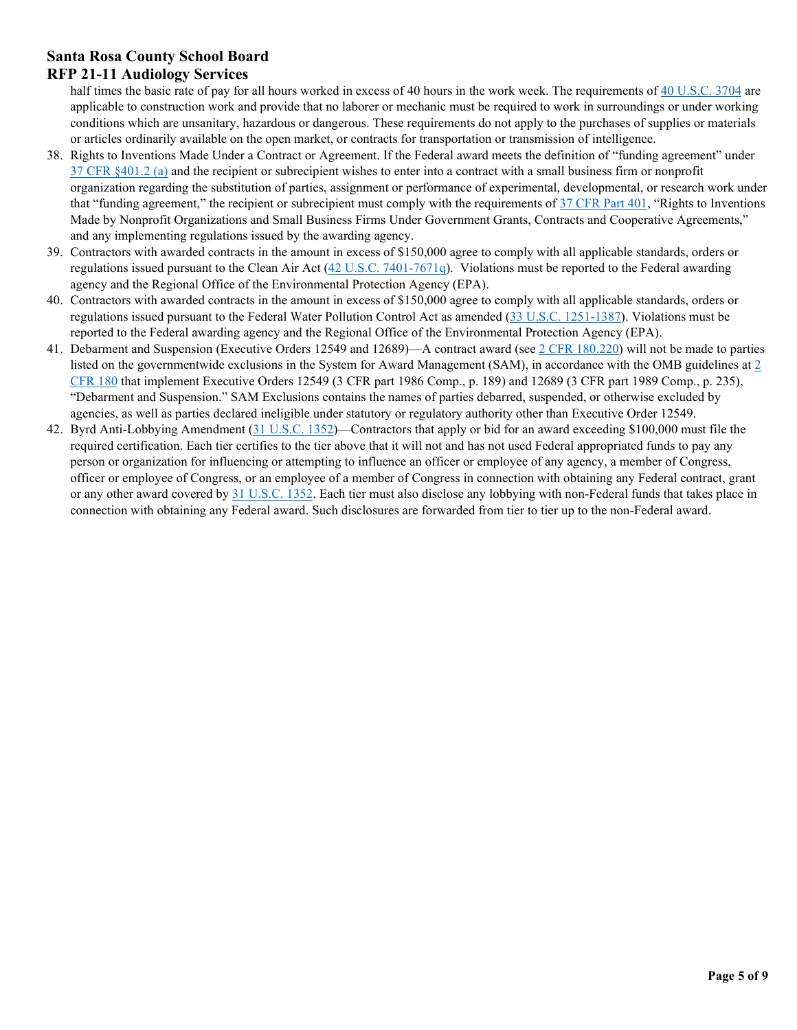# **Santa Rosa County School Board**

### **RFP 21-11 Audiology Services**

half times the basic rate of pay for all hours worked in excess of 40 hours in the work week. The requirements of [40 U.S.C. 3704](https://www.gpo.gov/fdsys/pkg/USCODE-2011-title40/pdf/USCODE-2011-title40-subtitleII-partA-chap37.pdf) are applicable to construction work and provide that no laborer or mechanic must be required to work in surroundings or under working conditions which are unsanitary, hazardous or dangerous. These requirements do not apply to the purchases of supplies or materials or articles ordinarily available on the open market, or contracts for transportation or transmission of intelligence.

- 38. Rights to Inventions Made Under a Contract or Agreement. If the Federal award meets the definition of "funding agreement" under [37 CFR §401.2 \(a\)](https://www.ecfr.gov/cgi-bin/text-idx?SID=d83cb8b7cd4367dad303324c29d5caff&mc=true&node=pt37.1.401&rgn=div5) and the recipient or subrecipient wishes to enter into a contract with a small business firm or nonprofit organization regarding the substitution of parties, assignment or performance of experimental, developmental, or research work under that "funding agreement," the recipient or subrecipient must comply with the requirements of [37 CFR Part 401,](https://www.ecfr.gov/cgi-bin/text-idx?SID=d83cb8b7cd4367dad303324c29d5caff&mc=true&node=pt37.1.401&rgn=div5) "Rights to Inventions Made by Nonprofit Organizations and Small Business Firms Under Government Grants, Contracts and Cooperative Agreements," and any implementing regulations issued by the awarding agency.
- 39. Contractors with awarded contracts in the amount in excess of \$150,000 agree to comply with all applicable standards, orders or regulations issued pursuant to the Clean Air Act  $(42 \text{ U.S.C. } 7401-7671q)$ . Violations must be reported to the Federal awarding agency and the Regional Office of the Environmental Protection Agency (EPA).
- 40. Contractors with awarded contracts in the amount in excess of \$150,000 agree to comply with all applicable standards, orders or regulations issued pursuant to the Federal Water Pollution Control Act as amended [\(33 U.S.C. 1251-1387\)](https://www.gpo.gov/fdsys/pkg/USCODE-2011-title33/pdf/USCODE-2011-title33-chap26.pdf). Violations must be reported to the Federal awarding agency and the Regional Office of the Environmental Protection Agency (EPA).
- 41. Debarment and Suspension (Executive Orders 12549 and 12689)—A contract award (see  $2$  CFR 180.220) will not be made to parties listed on the governmentwide exclusions in the System for Award Management (SAM), in accordance with the OMB guidelines at  $2$ [CFR 180](https://www.ecfr.gov/cgi-bin/text-idx?SID=d83cb8b7cd4367dad303324c29d5caff&mc=true&node=pt2.1.180&rgn=div5) that implement Executive Orders 12549 (3 CFR part 1986 Comp., p. 189) and 12689 (3 CFR part 1989 Comp., p. 235), "Debarment and Suspension." SAM Exclusions contains the names of parties debarred, suspended, or otherwise excluded by agencies, as well as parties declared ineligible under statutory or regulatory authority other than Executive Order 12549.
- 42. Byrd Anti-Lobbying Amendment [\(31 U.S.C. 1352\)](https://www.gpo.gov/fdsys/pkg/USCODE-2010-title31/pdf/USCODE-2010-title31-subtitleII-chap13-subchapIII-sec1352.pdf)—Contractors that apply or bid for an award exceeding \$100,000 must file the required certification. Each tier certifies to the tier above that it will not and has not used Federal appropriated funds to pay any person or organization for influencing or attempting to influence an officer or employee of any agency, a member of Congress, officer or employee of Congress, or an employee of a member of Congress in connection with obtaining any Federal contract, grant or any other award covered by [31 U.S.C. 1352.](https://www.gpo.gov/fdsys/pkg/USCODE-2010-title31/pdf/USCODE-2010-title31-subtitleII-chap13-subchapIII-sec1352.pdf) Each tier must also disclose any lobbying with non-Federal funds that takes place in connection with obtaining any Federal award. Such disclosures are forwarded from tier to tier up to the non-Federal award.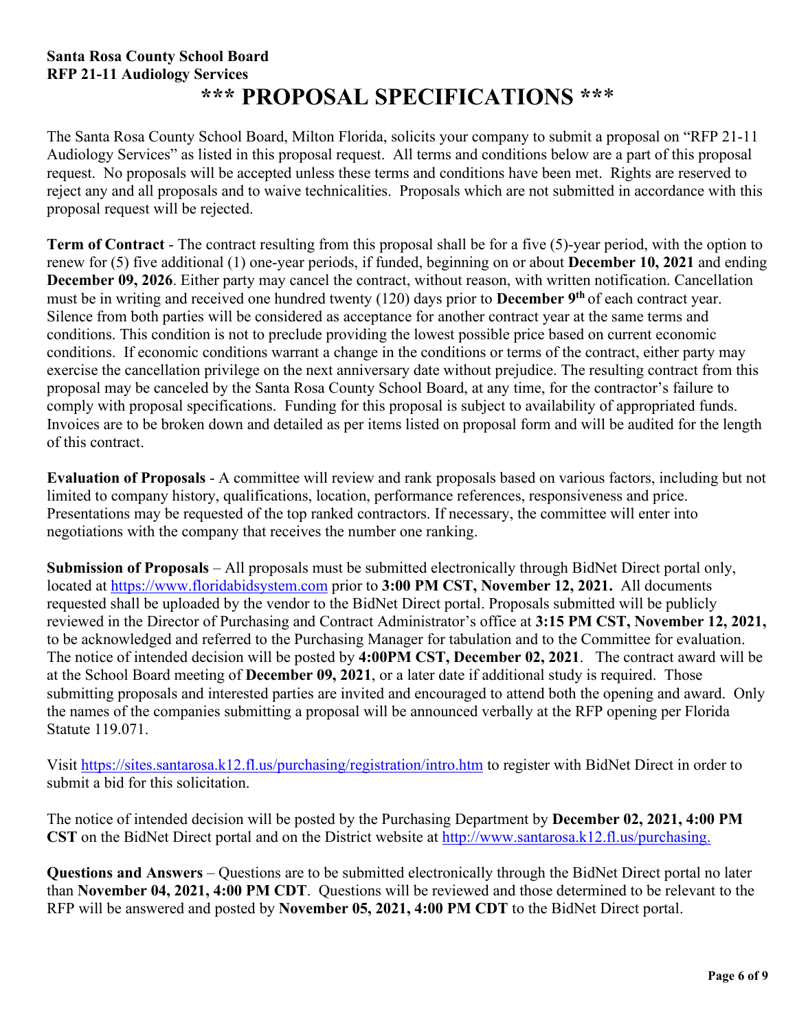# **Santa Rosa County School Board RFP 21-11 Audiology Services \*\*\* PROPOSAL SPECIFICATIONS \*\***\*

The Santa Rosa County School Board, Milton Florida, solicits your company to submit a proposal on "RFP 21-11 Audiology Services" as listed in this proposal request. All terms and conditions below are a part of this proposal request. No proposals will be accepted unless these terms and conditions have been met. Rights are reserved to reject any and all proposals and to waive technicalities. Proposals which are not submitted in accordance with this proposal request will be rejected.

**Term of Contract** - The contract resulting from this proposal shall be for a five (5)-year period, with the option to renew for (5) five additional (1) one-year periods, if funded, beginning on or about **December 10, 2021** and ending **December 09, 2026**. Either party may cancel the contract, without reason, with written notification. Cancellation must be in writing and received one hundred twenty (120) days prior to **December 9th** of each contract year. Silence from both parties will be considered as acceptance for another contract year at the same terms and conditions. This condition is not to preclude providing the lowest possible price based on current economic conditions. If economic conditions warrant a change in the conditions or terms of the contract, either party may exercise the cancellation privilege on the next anniversary date without prejudice. The resulting contract from this proposal may be canceled by the Santa Rosa County School Board, at any time, for the contractor's failure to comply with proposal specifications. Funding for this proposal is subject to availability of appropriated funds. Invoices are to be broken down and detailed as per items listed on proposal form and will be audited for the length of this contract.

**Evaluation of Proposals** - A committee will review and rank proposals based on various factors, including but not limited to company history, qualifications, location, performance references, responsiveness and price. Presentations may be requested of the top ranked contractors. If necessary, the committee will enter into negotiations with the company that receives the number one ranking.

**Submission of Proposals** – All proposals must be submitted electronically through BidNet Direct portal only, located at [https://www.floridabidsystem.com](https://www.floridabidsystem.com/) prior to **3:00 PM CST, November 12, 2021.** All documents requested shall be uploaded by the vendor to the BidNet Direct portal. Proposals submitted will be publicly reviewed in the Director of Purchasing and Contract Administrator's office at **3:15 PM CST, November 12, 2021,**  to be acknowledged and referred to the Purchasing Manager for tabulation and to the Committee for evaluation. The notice of intended decision will be posted by **4:00PM CST, December 02, 2021**. The contract award will be at the School Board meeting of **December 09, 2021**, or a later date if additional study is required. Those submitting proposals and interested parties are invited and encouraged to attend both the opening and award. Only the names of the companies submitting a proposal will be announced verbally at the RFP opening per Florida Statute 119.071.

Visit<https://sites.santarosa.k12.fl.us/purchasing/registration/intro.htm> to register with BidNet Direct in order to submit a bid for this solicitation.

The notice of intended decision will be posted by the Purchasing Department by **December 02, 2021, 4:00 PM CST** on the BidNet Direct portal and on the District website at [http://www.santarosa.k12.fl.us/purchasing.](http://www.santarosa.k12.fl.us/purchasing)

**Questions and Answers** – Questions are to be submitted electronically through the BidNet Direct portal no later than **November 04, 2021, 4:00 PM CDT**. Questions will be reviewed and those determined to be relevant to the RFP will be answered and posted by **November 05, 2021, 4:00 PM CDT** to the BidNet Direct portal.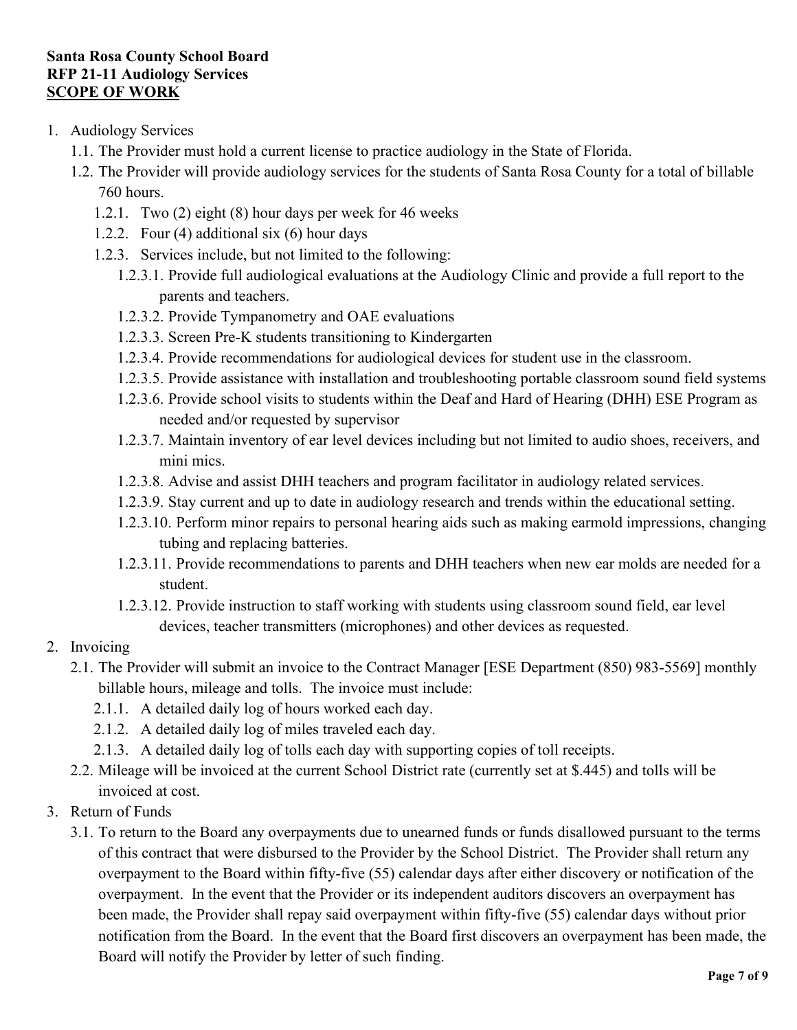### **Santa Rosa County School Board RFP 21-11 Audiology Services SCOPE OF WORK**

- 1. Audiology Services
	- 1.1. The Provider must hold a current license to practice audiology in the State of Florida.
	- 1.2. The Provider will provide audiology services for the students of Santa Rosa County for a total of billable 760 hours.
		- 1.2.1. Two (2) eight (8) hour days per week for 46 weeks
		- 1.2.2. Four (4) additional six (6) hour days
		- 1.2.3. Services include, but not limited to the following:
			- 1.2.3.1. Provide full audiological evaluations at the Audiology Clinic and provide a full report to the parents and teachers.
			- 1.2.3.2. Provide Tympanometry and OAE evaluations
			- 1.2.3.3. Screen Pre-K students transitioning to Kindergarten
			- 1.2.3.4. Provide recommendations for audiological devices for student use in the classroom.
			- 1.2.3.5. Provide assistance with installation and troubleshooting portable classroom sound field systems
			- 1.2.3.6. Provide school visits to students within the Deaf and Hard of Hearing (DHH) ESE Program as needed and/or requested by supervisor
			- 1.2.3.7. Maintain inventory of ear level devices including but not limited to audio shoes, receivers, and mini mics.
			- 1.2.3.8. Advise and assist DHH teachers and program facilitator in audiology related services.
			- 1.2.3.9. Stay current and up to date in audiology research and trends within the educational setting.
			- 1.2.3.10. Perform minor repairs to personal hearing aids such as making earmold impressions, changing tubing and replacing batteries.
			- 1.2.3.11. Provide recommendations to parents and DHH teachers when new ear molds are needed for a student.
			- 1.2.3.12. Provide instruction to staff working with students using classroom sound field, ear level devices, teacher transmitters (microphones) and other devices as requested.

### 2. Invoicing

- 2.1. The Provider will submit an invoice to the Contract Manager [ESE Department (850) 983-5569] monthly billable hours, mileage and tolls. The invoice must include:
	- 2.1.1. A detailed daily log of hours worked each day.
	- 2.1.2. A detailed daily log of miles traveled each day.
	- 2.1.3. A detailed daily log of tolls each day with supporting copies of toll receipts.
- 2.2. Mileage will be invoiced at the current School District rate (currently set at \$.445) and tolls will be invoiced at cost.
- 3. Return of Funds
	- 3.1. To return to the Board any overpayments due to unearned funds or funds disallowed pursuant to the terms of this contract that were disbursed to the Provider by the School District. The Provider shall return any overpayment to the Board within fifty-five (55) calendar days after either discovery or notification of the overpayment. In the event that the Provider or its independent auditors discovers an overpayment has been made, the Provider shall repay said overpayment within fifty-five (55) calendar days without prior notification from the Board. In the event that the Board first discovers an overpayment has been made, the Board will notify the Provider by letter of such finding.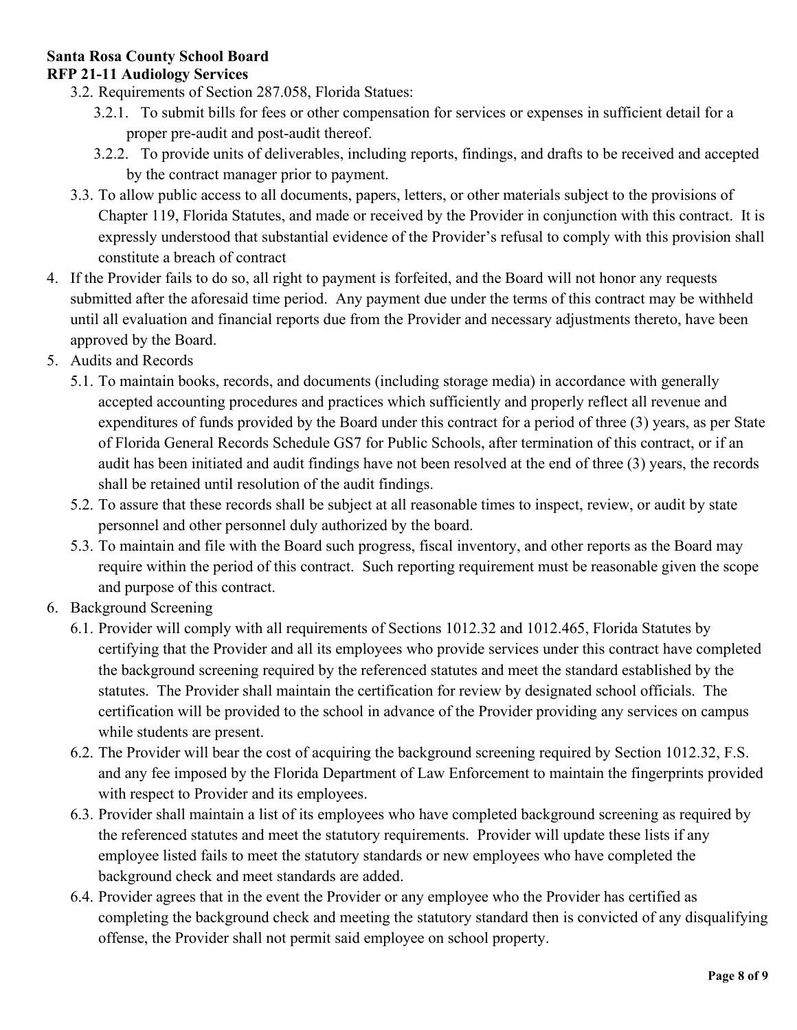#### **Santa Rosa County School Board RFP 21-11 Audiology Services**

- 3.2. Requirements of Section 287.058, Florida Statues:
	- 3.2.1. To submit bills for fees or other compensation for services or expenses in sufficient detail for a proper pre-audit and post-audit thereof.
	- 3.2.2. To provide units of deliverables, including reports, findings, and drafts to be received and accepted by the contract manager prior to payment.
- 3.3. To allow public access to all documents, papers, letters, or other materials subject to the provisions of Chapter 119, Florida Statutes, and made or received by the Provider in conjunction with this contract. It is expressly understood that substantial evidence of the Provider's refusal to comply with this provision shall constitute a breach of contract
- 4. If the Provider fails to do so, all right to payment is forfeited, and the Board will not honor any requests submitted after the aforesaid time period. Any payment due under the terms of this contract may be withheld until all evaluation and financial reports due from the Provider and necessary adjustments thereto, have been approved by the Board.
- 5. Audits and Records
	- 5.1. To maintain books, records, and documents (including storage media) in accordance with generally accepted accounting procedures and practices which sufficiently and properly reflect all revenue and expenditures of funds provided by the Board under this contract for a period of three (3) years, as per State of Florida General Records Schedule GS7 for Public Schools, after termination of this contract, or if an audit has been initiated and audit findings have not been resolved at the end of three (3) years, the records shall be retained until resolution of the audit findings.
	- 5.2. To assure that these records shall be subject at all reasonable times to inspect, review, or audit by state personnel and other personnel duly authorized by the board.
	- 5.3. To maintain and file with the Board such progress, fiscal inventory, and other reports as the Board may require within the period of this contract. Such reporting requirement must be reasonable given the scope and purpose of this contract.
- 6. Background Screening
	- 6.1. Provider will comply with all requirements of Sections 1012.32 and 1012.465, Florida Statutes by certifying that the Provider and all its employees who provide services under this contract have completed the background screening required by the referenced statutes and meet the standard established by the statutes. The Provider shall maintain the certification for review by designated school officials. The certification will be provided to the school in advance of the Provider providing any services on campus while students are present.
	- 6.2. The Provider will bear the cost of acquiring the background screening required by Section 1012.32, F.S. and any fee imposed by the Florida Department of Law Enforcement to maintain the fingerprints provided with respect to Provider and its employees.
	- 6.3. Provider shall maintain a list of its employees who have completed background screening as required by the referenced statutes and meet the statutory requirements. Provider will update these lists if any employee listed fails to meet the statutory standards or new employees who have completed the background check and meet standards are added.
	- 6.4. Provider agrees that in the event the Provider or any employee who the Provider has certified as completing the background check and meeting the statutory standard then is convicted of any disqualifying offense, the Provider shall not permit said employee on school property.